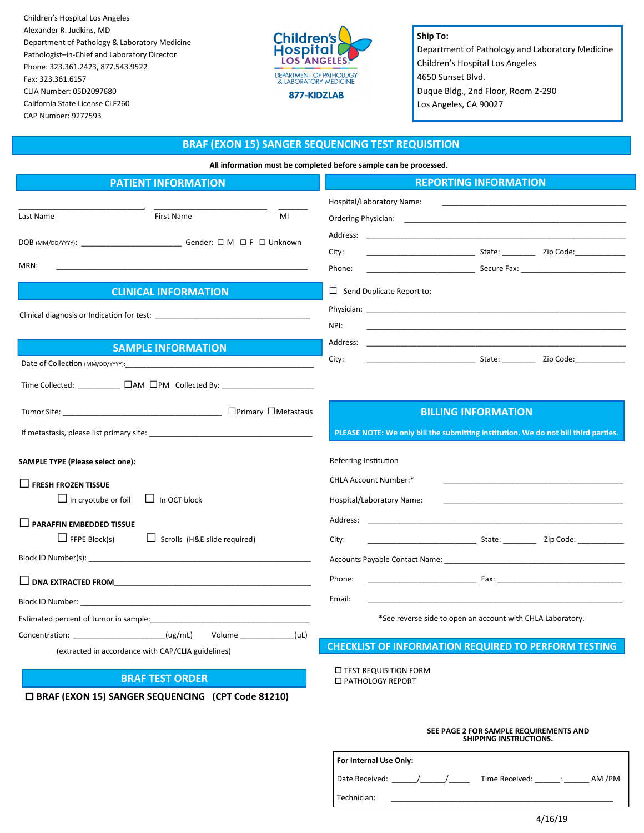Children's Hospital Los Angeles Alexander R. Judkins, MD Department of Pathology & Laboratory Medicine Pathologist–in-Chief and Laboratory Director Phone: 323.361.2423, 877.543.9522 Fax: 323.361.6157 CLIA Number: 05D2097680 California State License CLF260 CAP Number: 9277593

 **BRAF (EXON 15) SANGER SEQUENCING (CPT Code 81210)**



**Ship To:** Department of Pathology and Laboratory Medicine Children's Hospital Los Angeles 4650 Sunset Blvd. Duque Bldg., 2nd Floor, Room 2-290 Los Angeles, CA 90027

#### **BRAF (EXON 15) SANGER SEQUENCING TEST REQUISITION**

**All information must be completed before sample can be processed.**

|  | <b>REPORTING INFORMATION</b> |
|--|------------------------------|
|  |                              |

| <b>PATIENT INFORMATION</b>                                                                                                                                                                                                    | <b>REPORTING INFORMATION</b>                                                                                                                                                                                                   |  |
|-------------------------------------------------------------------------------------------------------------------------------------------------------------------------------------------------------------------------------|--------------------------------------------------------------------------------------------------------------------------------------------------------------------------------------------------------------------------------|--|
|                                                                                                                                                                                                                               | Hospital/Laboratory Name:                                                                                                                                                                                                      |  |
| <b>First Name</b><br>Last Name<br>MI                                                                                                                                                                                          |                                                                                                                                                                                                                                |  |
| DOB (MM/DD/YYYY): ________________________________Gender: □ M □ F □ Unknown                                                                                                                                                   | Address: the contract of the contract of the contract of the contract of the contract of the contract of the contract of the contract of the contract of the contract of the contract of the contract of the contract of the c |  |
|                                                                                                                                                                                                                               | <b>State: Example 2</b> 2ip Code:<br>City:                                                                                                                                                                                     |  |
| MRN:                                                                                                                                                                                                                          | Phone:                                                                                                                                                                                                                         |  |
| <b>CLINICAL INFORMATION</b>                                                                                                                                                                                                   | $\Box$ Send Duplicate Report to:                                                                                                                                                                                               |  |
|                                                                                                                                                                                                                               |                                                                                                                                                                                                                                |  |
|                                                                                                                                                                                                                               | NPI:                                                                                                                                                                                                                           |  |
| <b>SAMPLE INFORMATION</b>                                                                                                                                                                                                     | Address:                                                                                                                                                                                                                       |  |
|                                                                                                                                                                                                                               | City:                                                                                                                                                                                                                          |  |
|                                                                                                                                                                                                                               |                                                                                                                                                                                                                                |  |
|                                                                                                                                                                                                                               | <b>BILLING INFORMATION</b>                                                                                                                                                                                                     |  |
|                                                                                                                                                                                                                               | PLEASE NOTE: We only bill the submitting institution. We do not bill third parties.                                                                                                                                            |  |
| SAMPLE TYPE (Please select one):                                                                                                                                                                                              | Referring Institution                                                                                                                                                                                                          |  |
| $\Box$ FRESH FROZEN TISSUE                                                                                                                                                                                                    | CHLA Account Number:*                                                                                                                                                                                                          |  |
| $\Box$ In OCT block<br>$\Box$ In cryotube or foil                                                                                                                                                                             | Hospital/Laboratory Name:                                                                                                                                                                                                      |  |
| $\Box$ PARAFFIN EMBEDDED TISSUE                                                                                                                                                                                               | Address:                                                                                                                                                                                                                       |  |
| $\Box$ FFPE Block(s)<br>$\Box$ Scrolls (H&E slide required)                                                                                                                                                                   | Example 21 State: Code: 21 Decision 21 Decision 21 Decision 21 Decision 21 Decision 21 Decision 21 Decision 2<br>City:                                                                                                         |  |
|                                                                                                                                                                                                                               |                                                                                                                                                                                                                                |  |
|                                                                                                                                                                                                                               | Phone:<br>$\mathsf{F}$ ax: $\mathsf{F}$ ax: $\mathsf{F}$                                                                                                                                                                       |  |
|                                                                                                                                                                                                                               | Email:                                                                                                                                                                                                                         |  |
| Estimated percent of tumor in sample: example of the state of the state of the state of the state of the state of the state of the state of the state of the state of the state of the state of the state of the state of the | *See reverse side to open an account with CHLA Laboratory.                                                                                                                                                                     |  |
| Concentration: (ug/mL)<br>Volume (uL)                                                                                                                                                                                         |                                                                                                                                                                                                                                |  |
| (extracted in accordance with CAP/CLIA guidelines)                                                                                                                                                                            | <b>CHECKLIST OF INFORMATION REQUIRED TO PERFORM TESTING</b>                                                                                                                                                                    |  |
| <b>BRAF TEST ORDER</b>                                                                                                                                                                                                        | <b>LEST REQUISITION FORM</b><br>□ PATHOLOGY REPORT                                                                                                                                                                             |  |

Technician:

#### **SEE PAGE 2 FOR SAMPLE REQUIREMENTS AND SHIPPING INSTRUCTIONS.**

| For Internal Use Only: |                          |  |  |  |
|------------------------|--------------------------|--|--|--|
| Date Received: /       | AM /PM<br>Time Received: |  |  |  |